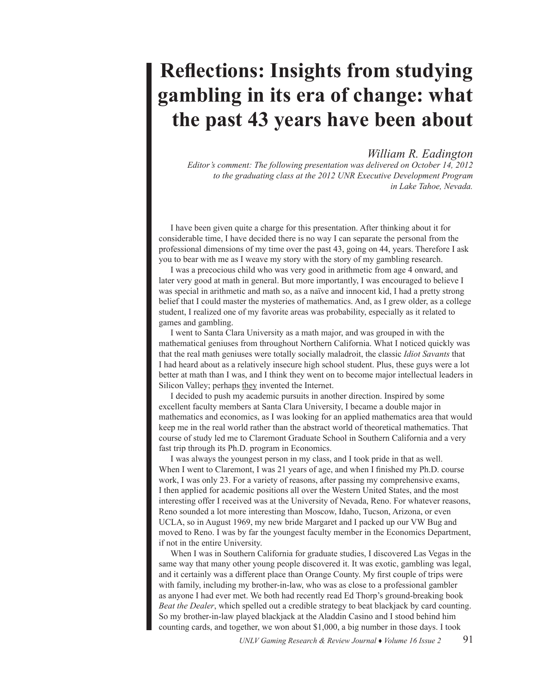## **Reflections: Insights from studying gambling in its era of change: what the past 43 years have been about**

## *William R. Eadington*

*Editor's comment: The following presentation was delivered on October 14, 2012 to the graduating class at the 2012 UNR Executive Development Program in Lake Tahoe, Nevada.*

I have been given quite a charge for this presentation. After thinking about it for considerable time, I have decided there is no way I can separate the personal from the professional dimensions of my time over the past 43, going on 44, years. Therefore I ask you to bear with me as I weave my story with the story of my gambling research.

I was a precocious child who was very good in arithmetic from age 4 onward, and later very good at math in general. But more importantly, I was encouraged to believe I was special in arithmetic and math so, as a naïve and innocent kid, I had a pretty strong belief that I could master the mysteries of mathematics. And, as I grew older, as a college student, I realized one of my favorite areas was probability, especially as it related to games and gambling.

I went to Santa Clara University as a math major, and was grouped in with the mathematical geniuses from throughout Northern California. What I noticed quickly was that the real math geniuses were totally socially maladroit, the classic *Idiot Savants* that I had heard about as a relatively insecure high school student. Plus, these guys were a lot better at math than I was, and I think they went on to become major intellectual leaders in Silicon Valley; perhaps they invented the Internet.

I decided to push my academic pursuits in another direction. Inspired by some excellent faculty members at Santa Clara University, I became a double major in mathematics and economics, as I was looking for an applied mathematics area that would keep me in the real world rather than the abstract world of theoretical mathematics. That course of study led me to Claremont Graduate School in Southern California and a very fast trip through its Ph.D. program in Economics.

I was always the youngest person in my class, and I took pride in that as well. When I went to Claremont, I was 21 years of age, and when I finished my Ph.D. course work, I was only 23. For a variety of reasons, after passing my comprehensive exams, I then applied for academic positions all over the Western United States, and the most interesting offer I received was at the University of Nevada, Reno. For whatever reasons, Reno sounded a lot more interesting than Moscow, Idaho, Tucson, Arizona, or even UCLA, so in August 1969, my new bride Margaret and I packed up our VW Bug and moved to Reno. I was by far the youngest faculty member in the Economics Department, if not in the entire University.

When I was in Southern California for graduate studies, I discovered Las Vegas in the same way that many other young people discovered it. It was exotic, gambling was legal, and it certainly was a different place than Orange County. My first couple of trips were with family, including my brother-in-law, who was as close to a professional gambler as anyone I had ever met. We both had recently read Ed Thorp's ground-breaking book *Beat the Dealer*, which spelled out a credible strategy to beat blackjack by card counting. So my brother-in-law played blackjack at the Aladdin Casino and I stood behind him counting cards, and together, we won about \$1,000, a big number in those days. I took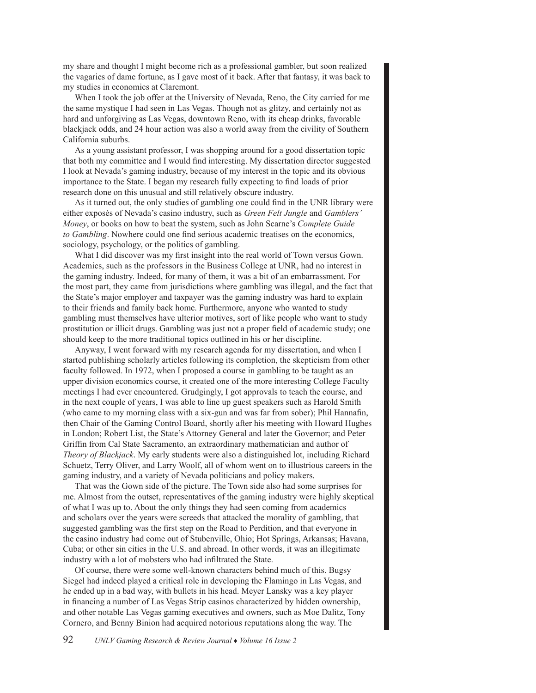my share and thought I might become rich as a professional gambler, but soon realized the vagaries of dame fortune, as I gave most of it back. After that fantasy, it was back to my studies in economics at Claremont.

When I took the job offer at the University of Nevada, Reno, the City carried for me the same mystique I had seen in Las Vegas. Though not as glitzy, and certainly not as hard and unforgiving as Las Vegas, downtown Reno, with its cheap drinks, favorable blackjack odds, and 24 hour action was also a world away from the civility of Southern California suburbs.

As a young assistant professor, I was shopping around for a good dissertation topic that both my committee and I would find interesting. My dissertation director suggested I look at Nevada's gaming industry, because of my interest in the topic and its obvious importance to the State. I began my research fully expecting to find loads of prior research done on this unusual and still relatively obscure industry.

As it turned out, the only studies of gambling one could find in the UNR library were either exposés of Nevada's casino industry, such as *Green Felt Jungle* and *Gamblers' Money*, or books on how to beat the system, such as John Scarne's *Complete Guide to Gambling*. Nowhere could one find serious academic treatises on the economics, sociology, psychology, or the politics of gambling.

What I did discover was my first insight into the real world of Town versus Gown. Academics, such as the professors in the Business College at UNR, had no interest in the gaming industry. Indeed, for many of them, it was a bit of an embarrassment. For the most part, they came from jurisdictions where gambling was illegal, and the fact that the State's major employer and taxpayer was the gaming industry was hard to explain to their friends and family back home. Furthermore, anyone who wanted to study gambling must themselves have ulterior motives, sort of like people who want to study prostitution or illicit drugs. Gambling was just not a proper field of academic study; one should keep to the more traditional topics outlined in his or her discipline.

Anyway, I went forward with my research agenda for my dissertation, and when I started publishing scholarly articles following its completion, the skepticism from other faculty followed. In 1972, when I proposed a course in gambling to be taught as an upper division economics course, it created one of the more interesting College Faculty meetings I had ever encountered. Grudgingly, I got approvals to teach the course, and in the next couple of years, I was able to line up guest speakers such as Harold Smith (who came to my morning class with a six-gun and was far from sober); Phil Hannafin, then Chair of the Gaming Control Board, shortly after his meeting with Howard Hughes in London; Robert List, the State's Attorney General and later the Governor; and Peter Griffin from Cal State Sacramento, an extraordinary mathematician and author of *Theory of Blackjack*. My early students were also a distinguished lot, including Richard Schuetz, Terry Oliver, and Larry Woolf, all of whom went on to illustrious careers in the gaming industry, and a variety of Nevada politicians and policy makers.

That was the Gown side of the picture. The Town side also had some surprises for me. Almost from the outset, representatives of the gaming industry were highly skeptical of what I was up to. About the only things they had seen coming from academics and scholars over the years were screeds that attacked the morality of gambling, that suggested gambling was the first step on the Road to Perdition, and that everyone in the casino industry had come out of Stubenville, Ohio; Hot Springs, Arkansas; Havana, Cuba; or other sin cities in the U.S. and abroad. In other words, it was an illegitimate industry with a lot of mobsters who had infiltrated the State.

Of course, there were some well-known characters behind much of this. Bugsy Siegel had indeed played a critical role in developing the Flamingo in Las Vegas, and he ended up in a bad way, with bullets in his head. Meyer Lansky was a key player in financing a number of Las Vegas Strip casinos characterized by hidden ownership, and other notable Las Vegas gaming executives and owners, such as Moe Dalitz, Tony Cornero, and Benny Binion had acquired notorious reputations along the way. The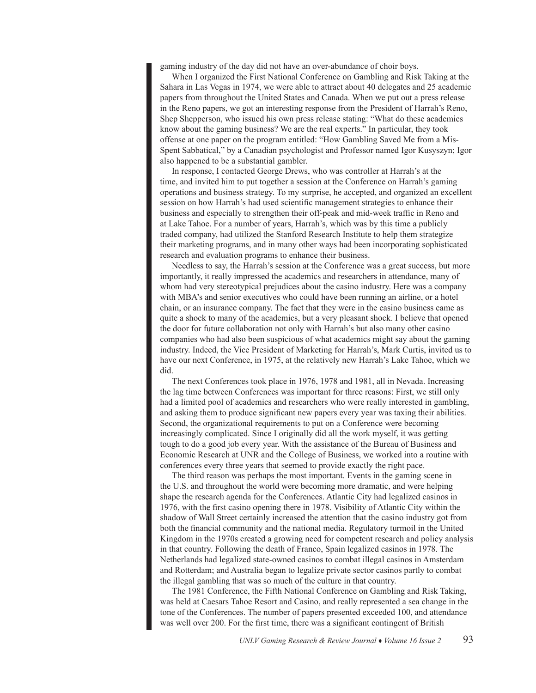gaming industry of the day did not have an over-abundance of choir boys.

When I organized the First National Conference on Gambling and Risk Taking at the Sahara in Las Vegas in 1974, we were able to attract about 40 delegates and 25 academic papers from throughout the United States and Canada. When we put out a press release in the Reno papers, we got an interesting response from the President of Harrah's Reno, Shep Shepperson, who issued his own press release stating: "What do these academics know about the gaming business? We are the real experts." In particular, they took offense at one paper on the program entitled: "How Gambling Saved Me from a Mis-Spent Sabbatical," by a Canadian psychologist and Professor named Igor Kusyszyn; Igor also happened to be a substantial gambler.

In response, I contacted George Drews, who was controller at Harrah's at the time, and invited him to put together a session at the Conference on Harrah's gaming operations and business strategy. To my surprise, he accepted, and organized an excellent session on how Harrah's had used scientific management strategies to enhance their business and especially to strengthen their off-peak and mid-week traffic in Reno and at Lake Tahoe. For a number of years, Harrah's, which was by this time a publicly traded company, had utilized the Stanford Research Institute to help them strategize their marketing programs, and in many other ways had been incorporating sophisticated research and evaluation programs to enhance their business.

Needless to say, the Harrah's session at the Conference was a great success, but more importantly, it really impressed the academics and researchers in attendance, many of whom had very stereotypical prejudices about the casino industry. Here was a company with MBA's and senior executives who could have been running an airline, or a hotel chain, or an insurance company. The fact that they were in the casino business came as quite a shock to many of the academics, but a very pleasant shock. I believe that opened the door for future collaboration not only with Harrah's but also many other casino companies who had also been suspicious of what academics might say about the gaming industry. Indeed, the Vice President of Marketing for Harrah's, Mark Curtis, invited us to have our next Conference, in 1975, at the relatively new Harrah's Lake Tahoe, which we did.

The next Conferences took place in 1976, 1978 and 1981, all in Nevada. Increasing the lag time between Conferences was important for three reasons: First, we still only had a limited pool of academics and researchers who were really interested in gambling, and asking them to produce significant new papers every year was taxing their abilities. Second, the organizational requirements to put on a Conference were becoming increasingly complicated. Since I originally did all the work myself, it was getting tough to do a good job every year. With the assistance of the Bureau of Business and Economic Research at UNR and the College of Business, we worked into a routine with conferences every three years that seemed to provide exactly the right pace.

The third reason was perhaps the most important. Events in the gaming scene in the U.S. and throughout the world were becoming more dramatic, and were helping shape the research agenda for the Conferences. Atlantic City had legalized casinos in 1976, with the first casino opening there in 1978. Visibility of Atlantic City within the shadow of Wall Street certainly increased the attention that the casino industry got from both the financial community and the national media. Regulatory turmoil in the United Kingdom in the 1970s created a growing need for competent research and policy analysis in that country. Following the death of Franco, Spain legalized casinos in 1978. The Netherlands had legalized state-owned casinos to combat illegal casinos in Amsterdam and Rotterdam; and Australia began to legalize private sector casinos partly to combat the illegal gambling that was so much of the culture in that country.

The 1981 Conference, the Fifth National Conference on Gambling and Risk Taking, was held at Caesars Tahoe Resort and Casino, and really represented a sea change in the tone of the Conferences. The number of papers presented exceeded 100, and attendance was well over 200. For the first time, there was a significant contingent of British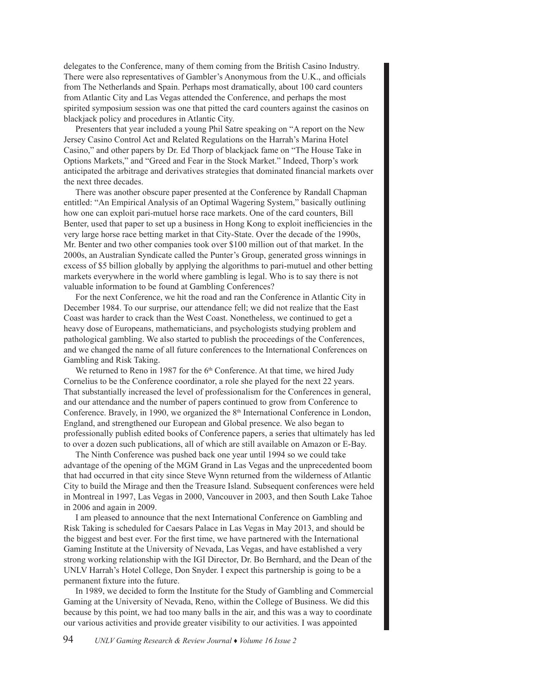delegates to the Conference, many of them coming from the British Casino Industry. There were also representatives of Gambler's Anonymous from the U.K., and officials from The Netherlands and Spain. Perhaps most dramatically, about 100 card counters from Atlantic City and Las Vegas attended the Conference, and perhaps the most spirited symposium session was one that pitted the card counters against the casinos on blackjack policy and procedures in Atlantic City.

Presenters that year included a young Phil Satre speaking on "A report on the New Jersey Casino Control Act and Related Regulations on the Harrah's Marina Hotel Casino," and other papers by Dr. Ed Thorp of blackjack fame on "The House Take in Options Markets," and "Greed and Fear in the Stock Market." Indeed, Thorp's work anticipated the arbitrage and derivatives strategies that dominated financial markets over the next three decades.

There was another obscure paper presented at the Conference by Randall Chapman entitled: "An Empirical Analysis of an Optimal Wagering System," basically outlining how one can exploit pari-mutuel horse race markets. One of the card counters, Bill Benter, used that paper to set up a business in Hong Kong to exploit inefficiencies in the very large horse race betting market in that City-State. Over the decade of the 1990s, Mr. Benter and two other companies took over \$100 million out of that market. In the 2000s, an Australian Syndicate called the Punter's Group, generated gross winnings in excess of \$5 billion globally by applying the algorithms to pari-mutuel and other betting markets everywhere in the world where gambling is legal. Who is to say there is not valuable information to be found at Gambling Conferences?

For the next Conference, we hit the road and ran the Conference in Atlantic City in December 1984. To our surprise, our attendance fell; we did not realize that the East Coast was harder to crack than the West Coast. Nonetheless, we continued to get a heavy dose of Europeans, mathematicians, and psychologists studying problem and pathological gambling. We also started to publish the proceedings of the Conferences, and we changed the name of all future conferences to the International Conferences on Gambling and Risk Taking.

We returned to Reno in 1987 for the 6<sup>th</sup> Conference. At that time, we hired Judy Cornelius to be the Conference coordinator, a role she played for the next 22 years. That substantially increased the level of professionalism for the Conferences in general, and our attendance and the number of papers continued to grow from Conference to Conference. Bravely, in 1990, we organized the 8<sup>th</sup> International Conference in London, England, and strengthened our European and Global presence. We also began to professionally publish edited books of Conference papers, a series that ultimately has led to over a dozen such publications, all of which are still available on Amazon or E-Bay.

The Ninth Conference was pushed back one year until 1994 so we could take advantage of the opening of the MGM Grand in Las Vegas and the unprecedented boom that had occurred in that city since Steve Wynn returned from the wilderness of Atlantic City to build the Mirage and then the Treasure Island. Subsequent conferences were held in Montreal in 1997, Las Vegas in 2000, Vancouver in 2003, and then South Lake Tahoe in 2006 and again in 2009.

I am pleased to announce that the next International Conference on Gambling and Risk Taking is scheduled for Caesars Palace in Las Vegas in May 2013, and should be the biggest and best ever. For the first time, we have partnered with the International Gaming Institute at the University of Nevada, Las Vegas, and have established a very strong working relationship with the IGI Director, Dr. Bo Bernhard, and the Dean of the UNLV Harrah's Hotel College, Don Snyder. I expect this partnership is going to be a permanent fixture into the future.

In 1989, we decided to form the Institute for the Study of Gambling and Commercial Gaming at the University of Nevada, Reno, within the College of Business. We did this because by this point, we had too many balls in the air, and this was a way to coordinate our various activities and provide greater visibility to our activities. I was appointed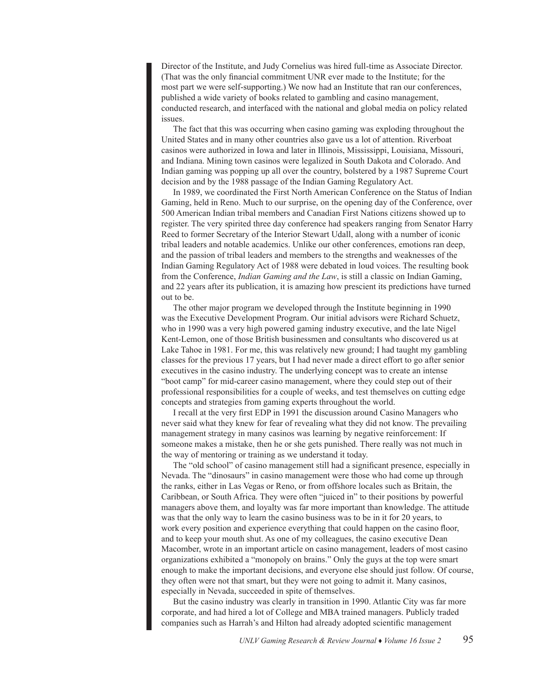Director of the Institute, and Judy Cornelius was hired full-time as Associate Director. (That was the only financial commitment UNR ever made to the Institute; for the most part we were self-supporting.) We now had an Institute that ran our conferences, published a wide variety of books related to gambling and casino management, conducted research, and interfaced with the national and global media on policy related issues.

The fact that this was occurring when casino gaming was exploding throughout the United States and in many other countries also gave us a lot of attention. Riverboat casinos were authorized in Iowa and later in Illinois, Mississippi, Louisiana, Missouri, and Indiana. Mining town casinos were legalized in South Dakota and Colorado. And Indian gaming was popping up all over the country, bolstered by a 1987 Supreme Court decision and by the 1988 passage of the Indian Gaming Regulatory Act.

In 1989, we coordinated the First North American Conference on the Status of Indian Gaming, held in Reno. Much to our surprise, on the opening day of the Conference, over 500 American Indian tribal members and Canadian First Nations citizens showed up to register. The very spirited three day conference had speakers ranging from Senator Harry Reed to former Secretary of the Interior Stewart Udall, along with a number of iconic tribal leaders and notable academics. Unlike our other conferences, emotions ran deep, and the passion of tribal leaders and members to the strengths and weaknesses of the Indian Gaming Regulatory Act of 1988 were debated in loud voices. The resulting book from the Conference, *Indian Gaming and the Law*, is still a classic on Indian Gaming, and 22 years after its publication, it is amazing how prescient its predictions have turned out to be.

The other major program we developed through the Institute beginning in 1990 was the Executive Development Program. Our initial advisors were Richard Schuetz, who in 1990 was a very high powered gaming industry executive, and the late Nigel Kent-Lemon, one of those British businessmen and consultants who discovered us at Lake Tahoe in 1981. For me, this was relatively new ground; I had taught my gambling classes for the previous 17 years, but I had never made a direct effort to go after senior executives in the casino industry. The underlying concept was to create an intense "boot camp" for mid-career casino management, where they could step out of their professional responsibilities for a couple of weeks, and test themselves on cutting edge concepts and strategies from gaming experts throughout the world.

I recall at the very first EDP in 1991 the discussion around Casino Managers who never said what they knew for fear of revealing what they did not know. The prevailing management strategy in many casinos was learning by negative reinforcement: If someone makes a mistake, then he or she gets punished. There really was not much in the way of mentoring or training as we understand it today.

The "old school" of casino management still had a significant presence, especially in Nevada. The "dinosaurs" in casino management were those who had come up through the ranks, either in Las Vegas or Reno, or from offshore locales such as Britain, the Caribbean, or South Africa. They were often "juiced in" to their positions by powerful managers above them, and loyalty was far more important than knowledge. The attitude was that the only way to learn the casino business was to be in it for 20 years, to work every position and experience everything that could happen on the casino floor, and to keep your mouth shut. As one of my colleagues, the casino executive Dean Macomber, wrote in an important article on casino management, leaders of most casino organizations exhibited a "monopoly on brains." Only the guys at the top were smart enough to make the important decisions, and everyone else should just follow. Of course, they often were not that smart, but they were not going to admit it. Many casinos, especially in Nevada, succeeded in spite of themselves.

But the casino industry was clearly in transition in 1990. Atlantic City was far more corporate, and had hired a lot of College and MBA trained managers. Publicly traded companies such as Harrah's and Hilton had already adopted scientific management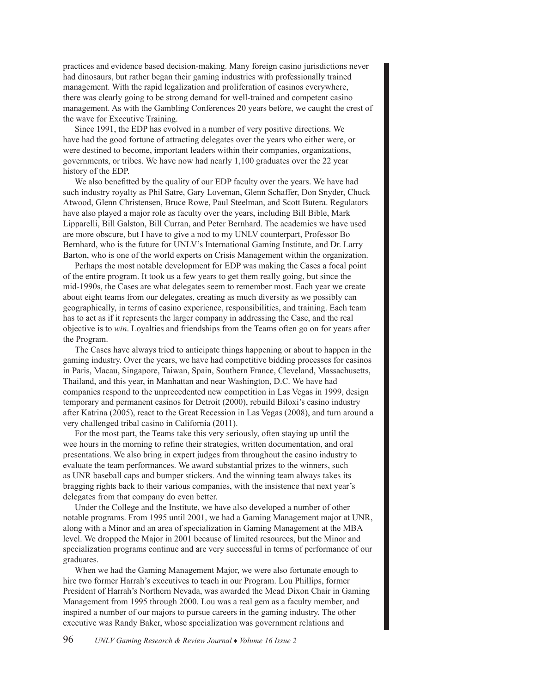practices and evidence based decision-making. Many foreign casino jurisdictions never had dinosaurs, but rather began their gaming industries with professionally trained management. With the rapid legalization and proliferation of casinos everywhere, there was clearly going to be strong demand for well-trained and competent casino management. As with the Gambling Conferences 20 years before, we caught the crest of the wave for Executive Training.

Since 1991, the EDP has evolved in a number of very positive directions. We have had the good fortune of attracting delegates over the years who either were, or were destined to become, important leaders within their companies, organizations, governments, or tribes. We have now had nearly 1,100 graduates over the 22 year history of the EDP.

We also benefitted by the quality of our EDP faculty over the years. We have had such industry royalty as Phil Satre, Gary Loveman, Glenn Schaffer, Don Snyder, Chuck Atwood, Glenn Christensen, Bruce Rowe, Paul Steelman, and Scott Butera. Regulators have also played a major role as faculty over the years, including Bill Bible, Mark Lipparelli, Bill Galston, Bill Curran, and Peter Bernhard. The academics we have used are more obscure, but I have to give a nod to my UNLV counterpart, Professor Bo Bernhard, who is the future for UNLV's International Gaming Institute, and Dr. Larry Barton, who is one of the world experts on Crisis Management within the organization.

Perhaps the most notable development for EDP was making the Cases a focal point of the entire program. It took us a few years to get them really going, but since the mid-1990s, the Cases are what delegates seem to remember most. Each year we create about eight teams from our delegates, creating as much diversity as we possibly can geographically, in terms of casino experience, responsibilities, and training. Each team has to act as if it represents the larger company in addressing the Case, and the real objective is to *win*. Loyalties and friendships from the Teams often go on for years after the Program.

The Cases have always tried to anticipate things happening or about to happen in the gaming industry. Over the years, we have had competitive bidding processes for casinos in Paris, Macau, Singapore, Taiwan, Spain, Southern France, Cleveland, Massachusetts, Thailand, and this year, in Manhattan and near Washington, D.C. We have had companies respond to the unprecedented new competition in Las Vegas in 1999, design temporary and permanent casinos for Detroit (2000), rebuild Biloxi's casino industry after Katrina (2005), react to the Great Recession in Las Vegas (2008), and turn around a very challenged tribal casino in California (2011).

For the most part, the Teams take this very seriously, often staying up until the wee hours in the morning to refine their strategies, written documentation, and oral presentations. We also bring in expert judges from throughout the casino industry to evaluate the team performances. We award substantial prizes to the winners, such as UNR baseball caps and bumper stickers. And the winning team always takes its bragging rights back to their various companies, with the insistence that next year's delegates from that company do even better.

Under the College and the Institute, we have also developed a number of other notable programs. From 1995 until 2001, we had a Gaming Management major at UNR, along with a Minor and an area of specialization in Gaming Management at the MBA level. We dropped the Major in 2001 because of limited resources, but the Minor and specialization programs continue and are very successful in terms of performance of our graduates.

When we had the Gaming Management Major, we were also fortunate enough to hire two former Harrah's executives to teach in our Program. Lou Phillips, former President of Harrah's Northern Nevada, was awarded the Mead Dixon Chair in Gaming Management from 1995 through 2000. Lou was a real gem as a faculty member, and inspired a number of our majors to pursue careers in the gaming industry. The other executive was Randy Baker, whose specialization was government relations and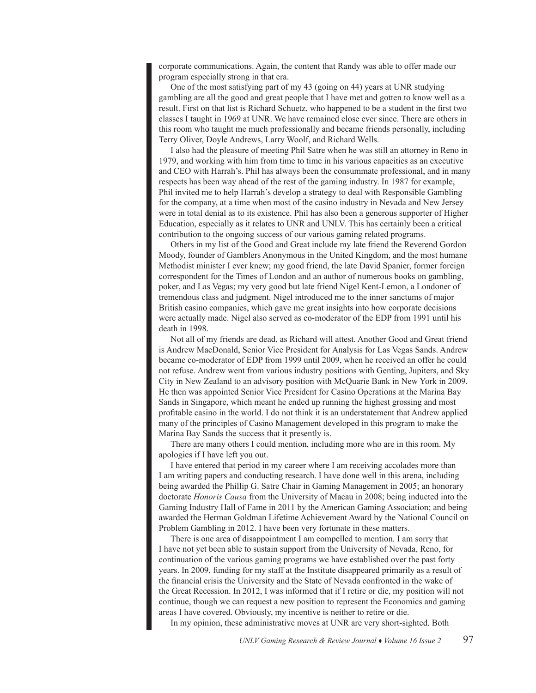corporate communications. Again, the content that Randy was able to offer made our program especially strong in that era.

One of the most satisfying part of my 43 (going on 44) years at UNR studying gambling are all the good and great people that I have met and gotten to know well as a result. First on that list is Richard Schuetz, who happened to be a student in the first two classes I taught in 1969 at UNR. We have remained close ever since. There are others in this room who taught me much professionally and became friends personally, including Terry Oliver, Doyle Andrews, Larry Woolf, and Richard Wells.

I also had the pleasure of meeting Phil Satre when he was still an attorney in Reno in 1979, and working with him from time to time in his various capacities as an executive and CEO with Harrah's. Phil has always been the consummate professional, and in many respects has been way ahead of the rest of the gaming industry. In 1987 for example, Phil invited me to help Harrah's develop a strategy to deal with Responsible Gambling for the company, at a time when most of the casino industry in Nevada and New Jersey were in total denial as to its existence. Phil has also been a generous supporter of Higher Education, especially as it relates to UNR and UNLV. This has certainly been a critical contribution to the ongoing success of our various gaming related programs.

Others in my list of the Good and Great include my late friend the Reverend Gordon Moody, founder of Gamblers Anonymous in the United Kingdom, and the most humane Methodist minister I ever knew; my good friend, the late David Spanier, former foreign correspondent for the Times of London and an author of numerous books on gambling, poker, and Las Vegas; my very good but late friend Nigel Kent-Lemon, a Londoner of tremendous class and judgment. Nigel introduced me to the inner sanctums of major British casino companies, which gave me great insights into how corporate decisions were actually made. Nigel also served as co-moderator of the EDP from 1991 until his death in 1998.

Not all of my friends are dead, as Richard will attest. Another Good and Great friend is Andrew MacDonald, Senior Vice President for Analysis for Las Vegas Sands. Andrew became co-moderator of EDP from 1999 until 2009, when he received an offer he could not refuse. Andrew went from various industry positions with Genting, Jupiters, and Sky City in New Zealand to an advisory position with McQuarie Bank in New York in 2009. He then was appointed Senior Vice President for Casino Operations at the Marina Bay Sands in Singapore, which meant he ended up running the highest grossing and most profitable casino in the world. I do not think it is an understatement that Andrew applied many of the principles of Casino Management developed in this program to make the Marina Bay Sands the success that it presently is.

There are many others I could mention, including more who are in this room. My apologies if I have left you out.

I have entered that period in my career where I am receiving accolades more than I am writing papers and conducting research. I have done well in this arena, including being awarded the Phillip G. Satre Chair in Gaming Management in 2005; an honorary doctorate *Honoris Causa* from the University of Macau in 2008; being inducted into the Gaming Industry Hall of Fame in 2011 by the American Gaming Association; and being awarded the Herman Goldman Lifetime Achievement Award by the National Council on Problem Gambling in 2012. I have been very fortunate in these matters.

There is one area of disappointment I am compelled to mention. I am sorry that I have not yet been able to sustain support from the University of Nevada, Reno, for continuation of the various gaming programs we have established over the past forty years. In 2009, funding for my staff at the Institute disappeared primarily as a result of the financial crisis the University and the State of Nevada confronted in the wake of the Great Recession. In 2012, I was informed that if I retire or die, my position will not continue, though we can request a new position to represent the Economics and gaming areas I have covered. Obviously, my incentive is neither to retire or die.

In my opinion, these administrative moves at UNR are very short-sighted. Both